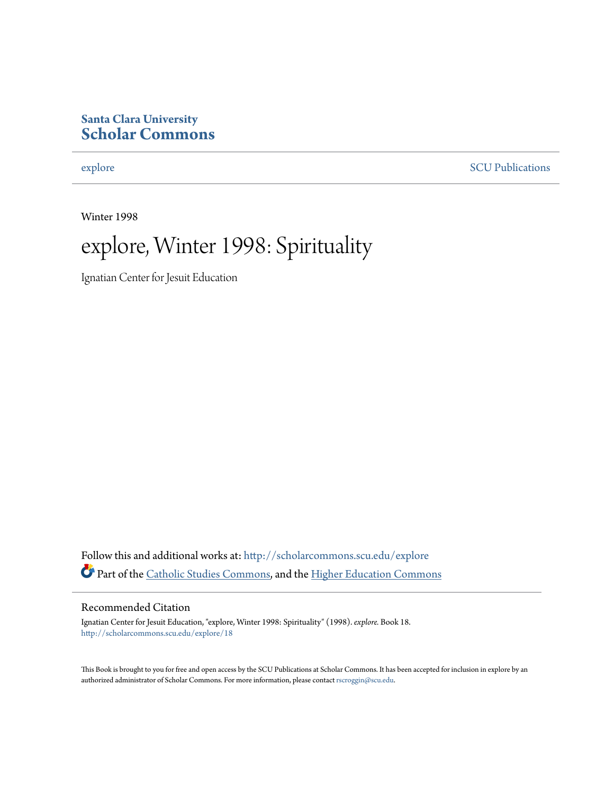## **Santa Clara University [Scholar Commons](http://scholarcommons.scu.edu?utm_source=scholarcommons.scu.edu%2Fexplore%2F18&utm_medium=PDF&utm_campaign=PDFCoverPages)**

[explore](http://scholarcommons.scu.edu/explore?utm_source=scholarcommons.scu.edu%2Fexplore%2F18&utm_medium=PDF&utm_campaign=PDFCoverPages) [SCU Publications](http://scholarcommons.scu.edu/scu_pubs?utm_source=scholarcommons.scu.edu%2Fexplore%2F18&utm_medium=PDF&utm_campaign=PDFCoverPages)

Winter 1998



Ignatian Center for Jesuit Education

Follow this and additional works at: [http://scholarcommons.scu.edu/explore](http://scholarcommons.scu.edu/explore?utm_source=scholarcommons.scu.edu%2Fexplore%2F18&utm_medium=PDF&utm_campaign=PDFCoverPages) Part of the [Catholic Studies Commons,](http://network.bepress.com/hgg/discipline/1294?utm_source=scholarcommons.scu.edu%2Fexplore%2F18&utm_medium=PDF&utm_campaign=PDFCoverPages) and the [Higher Education Commons](http://network.bepress.com/hgg/discipline/1245?utm_source=scholarcommons.scu.edu%2Fexplore%2F18&utm_medium=PDF&utm_campaign=PDFCoverPages)

#### Recommended Citation

Ignatian Center for Jesuit Education, "explore, Winter 1998: Spirituality" (1998). *explore.* Book 18. [http://scholarcommons.scu.edu/explore/18](http://scholarcommons.scu.edu/explore/18?utm_source=scholarcommons.scu.edu%2Fexplore%2F18&utm_medium=PDF&utm_campaign=PDFCoverPages)

This Book is brought to you for free and open access by the SCU Publications at Scholar Commons. It has been accepted for inclusion in explore by an authorized administrator of Scholar Commons. For more information, please contact [rscroggin@scu.edu.](mailto:rscroggin@scu.edu)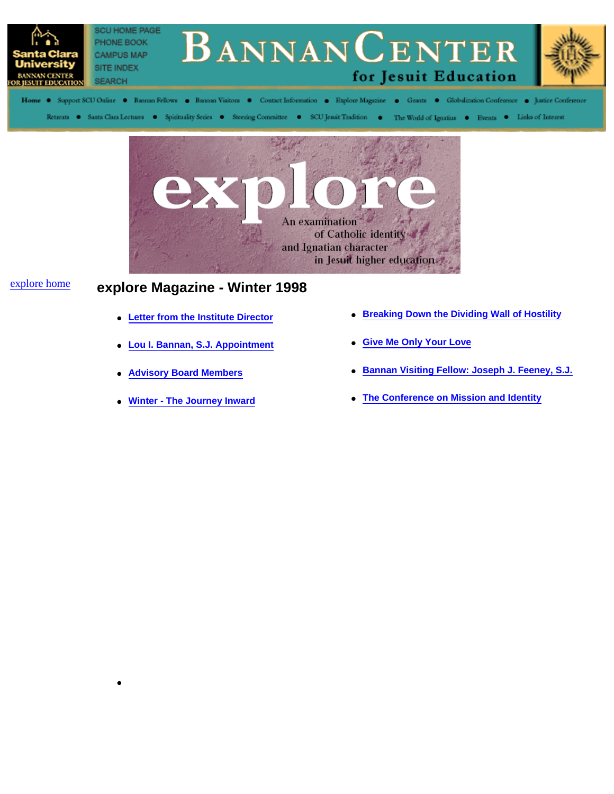



# explore home **explore Magazine - Winter 1998**

●

- **Letter from the Institute Director**
- **Lou I. Bannan, S.J. Appointment**
- **Advisory Board Members**
- **Winter The Journey Inward**
- **Breaking Down the Dividing Wall of Hostility**
- **Give Me Only Your Love**
- **Bannan Visiting Fellow: Joseph J. Feeney, S.J.**
- **The Conference on Mission and Identity**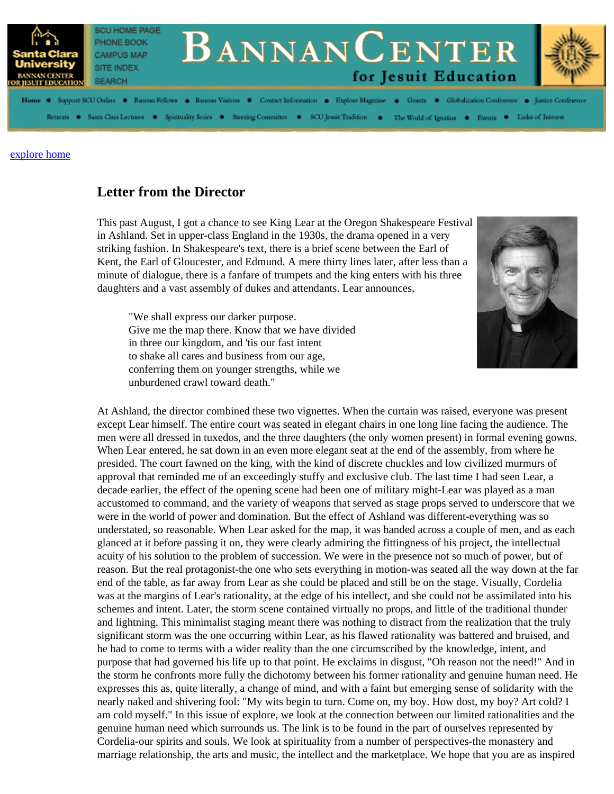

## **Letter from the Director**

This past August, I got a chance to see King Lear at the Oregon Shakespeare Festival in Ashland. Set in upper-class England in the 1930s, the drama opened in a very striking fashion. In Shakespeare's text, there is a brief scene between the Earl of Kent, the Earl of Gloucester, and Edmund. A mere thirty lines later, after less than a minute of dialogue, there is a fanfare of trumpets and the king enters with his three daughters and a vast assembly of dukes and attendants. Lear announces,

"We shall express our darker purpose. Give me the map there. Know that we have divided in three our kingdom, and 'tis our fast intent to shake all cares and business from our age, conferring them on younger strengths, while we unburdened crawl toward death."



At Ashland, the director combined these two vignettes. When the curtain was raised, everyone was present except Lear himself. The entire court was seated in elegant chairs in one long line facing the audience. The men were all dressed in tuxedos, and the three daughters (the only women present) in formal evening gowns. When Lear entered, he sat down in an even more elegant seat at the end of the assembly, from where he presided. The court fawned on the king, with the kind of discrete chuckles and low civilized murmurs of approval that reminded me of an exceedingly stuffy and exclusive club. The last time I had seen Lear, a decade earlier, the effect of the opening scene had been one of military might-Lear was played as a man accustomed to command, and the variety of weapons that served as stage props served to underscore that we were in the world of power and domination. But the effect of Ashland was different-everything was so understated, so reasonable. When Lear asked for the map, it was handed across a couple of men, and as each glanced at it before passing it on, they were clearly admiring the fittingness of his project, the intellectual acuity of his solution to the problem of succession. We were in the presence not so much of power, but of reason. But the real protagonist-the one who sets everything in motion-was seated all the way down at the far end of the table, as far away from Lear as she could be placed and still be on the stage. Visually, Cordelia was at the margins of Lear's rationality, at the edge of his intellect, and she could not be assimilated into his schemes and intent. Later, the storm scene contained virtually no props, and little of the traditional thunder and lightning. This minimalist staging meant there was nothing to distract from the realization that the truly significant storm was the one occurring within Lear, as his flawed rationality was battered and bruised, and he had to come to terms with a wider reality than the one circumscribed by the knowledge, intent, and purpose that had governed his life up to that point. He exclaims in disgust, "Oh reason not the need!" And in the storm he confronts more fully the dichotomy between his former rationality and genuine human need. He expresses this as, quite literally, a change of mind, and with a faint but emerging sense of solidarity with the nearly naked and shivering fool: "My wits begin to turn. Come on, my boy. How dost, my boy? Art cold? I am cold myself." In this issue of explore, we look at the connection between our limited rationalities and the genuine human need which surrounds us. The link is to be found in the part of ourselves represented by Cordelia-our spirits and souls. We look at spirituality from a number of perspectives-the monastery and marriage relationship, the arts and music, the intellect and the marketplace. We hope that you are as inspired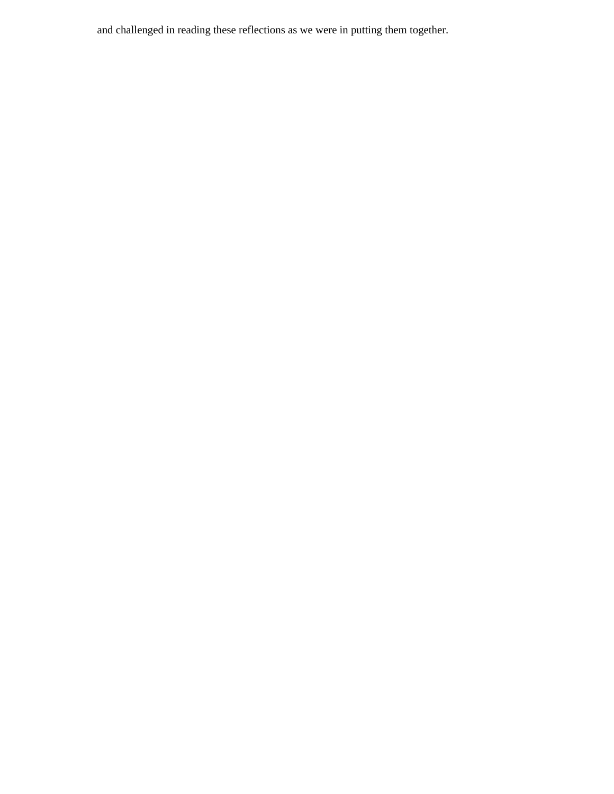and challenged in reading these reflections as we were in putting them together.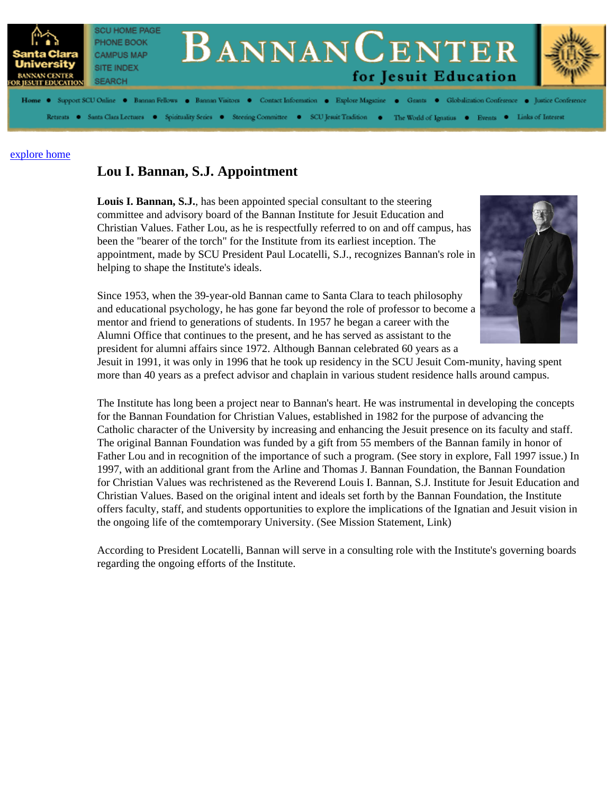

## **Lou I. Bannan, S.J. Appointment**

**Louis I. Bannan, S.J.**, has been appointed special consultant to the steering committee and advisory board of the Bannan Institute for Jesuit Education and Christian Values. Father Lou, as he is respectfully referred to on and off campus, has been the "bearer of the torch" for the Institute from its earliest inception. The appointment, made by SCU President Paul Locatelli, S.J., recognizes Bannan's role in helping to shape the Institute's ideals.



Since 1953, when the 39-year-old Bannan came to Santa Clara to teach philosophy and educational psychology, he has gone far beyond the role of professor to become a mentor and friend to generations of students. In 1957 he began a career with the Alumni Office that continues to the present, and he has served as assistant to the president for alumni affairs since 1972. Although Bannan celebrated 60 years as a

Jesuit in 1991, it was only in 1996 that he took up residency in the SCU Jesuit Com-munity, having spent more than 40 years as a prefect advisor and chaplain in various student residence halls around campus.

The Institute has long been a project near to Bannan's heart. He was instrumental in developing the concepts for the Bannan Foundation for Christian Values, established in 1982 for the purpose of advancing the Catholic character of the University by increasing and enhancing the Jesuit presence on its faculty and staff. The original Bannan Foundation was funded by a gift from 55 members of the Bannan family in honor of Father Lou and in recognition of the importance of such a program. (See story in explore, Fall 1997 issue.) In 1997, with an additional grant from the Arline and Thomas J. Bannan Foundation, the Bannan Foundation for Christian Values was rechristened as the Reverend Louis I. Bannan, S.J. Institute for Jesuit Education and Christian Values. Based on the original intent and ideals set forth by the Bannan Foundation, the Institute offers faculty, staff, and students opportunities to explore the implications of the Ignatian and Jesuit vision in the ongoing life of the comtemporary University. (See Mission Statement, Link)

According to President Locatelli, Bannan will serve in a consulting role with the Institute's governing boards regarding the ongoing efforts of the Institute.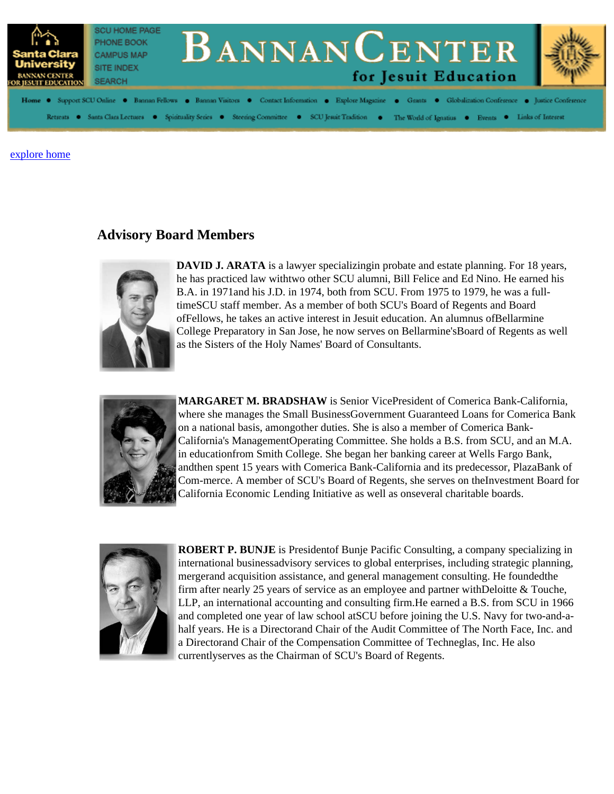

## **Advisory Board Members**



**DAVID J. ARATA** is a lawyer specializingin probate and estate planning. For 18 years, he has practiced law withtwo other SCU alumni, Bill Felice and Ed Nino. He earned his B.A. in 1971and his J.D. in 1974, both from SCU. From 1975 to 1979, he was a fulltimeSCU staff member. As a member of both SCU's Board of Regents and Board ofFellows, he takes an active interest in Jesuit education. An alumnus ofBellarmine College Preparatory in San Jose, he now serves on Bellarmine'sBoard of Regents as well as the Sisters of the Holy Names' Board of Consultants.



**MARGARET M. BRADSHAW** is Senior VicePresident of Comerica Bank-California, where she manages the Small BusinessGovernment Guaranteed Loans for Comerica Bank on a national basis, amongother duties. She is also a member of Comerica Bank-California's ManagementOperating Committee. She holds a B.S. from SCU, and an M.A. in educationfrom Smith College. She began her banking career at Wells Fargo Bank, andthen spent 15 years with Comerica Bank-California and its predecessor, PlazaBank of Com-merce. A member of SCU's Board of Regents, she serves on theInvestment Board for California Economic Lending Initiative as well as onseveral charitable boards.



**ROBERT P. BUNJE** is Presidentof Bunje Pacific Consulting, a company specializing in international businessadvisory services to global enterprises, including strategic planning, mergerand acquisition assistance, and general management consulting. He foundedthe firm after nearly 25 years of service as an employee and partner withDeloitte & Touche, LLP, an international accounting and consulting firm.He earned a B.S. from SCU in 1966 and completed one year of law school atSCU before joining the U.S. Navy for two-and-ahalf years. He is a Directorand Chair of the Audit Committee of The North Face, Inc. and a Directorand Chair of the Compensation Committee of Techneglas, Inc. He also currentlyserves as the Chairman of SCU's Board of Regents.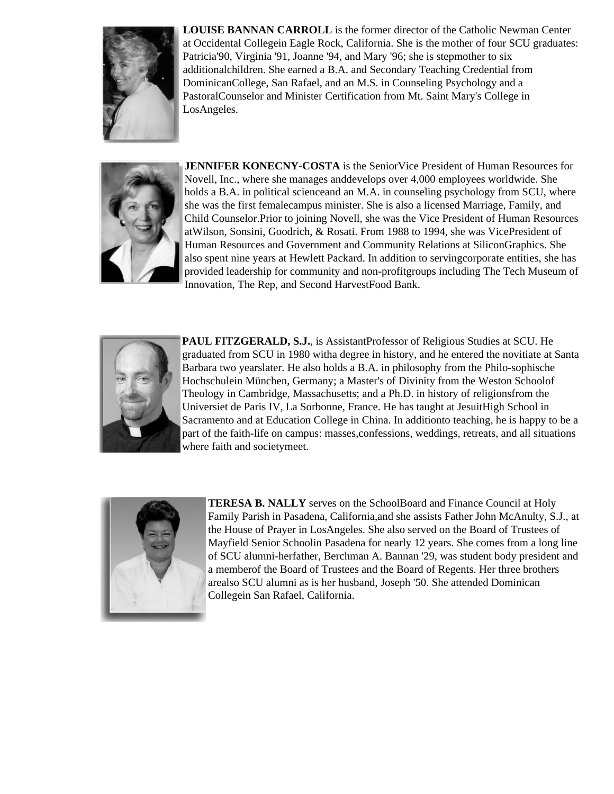

**LOUISE BANNAN CARROLL** is the former director of the Catholic Newman Center at Occidental Collegein Eagle Rock, California. She is the mother of four SCU graduates: Patricia'90, Virginia '91, Joanne '94, and Mary '96; she is stepmother to six additionalchildren. She earned a B.A. and Secondary Teaching Credential from DominicanCollege, San Rafael, and an M.S. in Counseling Psychology and a PastoralCounselor and Minister Certification from Mt. Saint Mary's College in LosAngeles.



**JENNIFER KONECNY-COSTA** is the SeniorVice President of Human Resources for Novell, Inc., where she manages anddevelops over 4,000 employees worldwide. She holds a B.A. in political scienceand an M.A. in counseling psychology from SCU, where she was the first femalecampus minister. She is also a licensed Marriage, Family, and Child Counselor.Prior to joining Novell, she was the Vice President of Human Resources atWilson, Sonsini, Goodrich, & Rosati. From 1988 to 1994, she was VicePresident of Human Resources and Government and Community Relations at SiliconGraphics. She also spent nine years at Hewlett Packard. In addition to servingcorporate entities, she has provided leadership for community and non-profitgroups including The Tech Museum of Innovation, The Rep, and Second HarvestFood Bank.



**PAUL FITZGERALD, S.J.**, is AssistantProfessor of Religious Studies at SCU. He graduated from SCU in 1980 witha degree in history, and he entered the novitiate at Santa Barbara two yearslater. He also holds a B.A. in philosophy from the Philo-sophische Hochschulein München, Germany; a Master's of Divinity from the Weston Schoolof Theology in Cambridge, Massachusetts; and a Ph.D. in history of religionsfrom the Universiet de Paris IV, La Sorbonne, France. He has taught at JesuitHigh School in Sacramento and at Education College in China. In additionto teaching, he is happy to be a part of the faith-life on campus: masses,confessions, weddings, retreats, and all situations where faith and societymeet.



**TERESA B. NALLY** serves on the SchoolBoard and Finance Council at Holy Family Parish in Pasadena, California,and she assists Father John McAnulty, S.J., at the House of Prayer in LosAngeles. She also served on the Board of Trustees of Mayfield Senior Schoolin Pasadena for nearly 12 years. She comes from a long line of SCU alumni-herfather, Berchman A. Bannan '29, was student body president and a memberof the Board of Trustees and the Board of Regents. Her three brothers arealso SCU alumni as is her husband, Joseph '50. She attended Dominican Collegein San Rafael, California.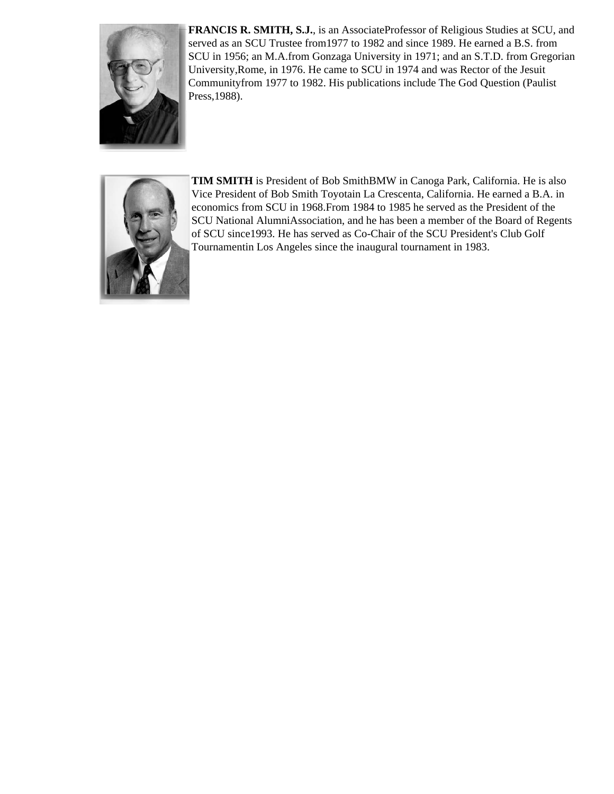

**FRANCIS R. SMITH, S.J.**, is an AssociateProfessor of Religious Studies at SCU, and served as an SCU Trustee from1977 to 1982 and since 1989. He earned a B.S. from SCU in 1956; an M.A.from Gonzaga University in 1971; and an S.T.D. from Gregorian University,Rome, in 1976. He came to SCU in 1974 and was Rector of the Jesuit Communityfrom 1977 to 1982. His publications include The God Question (Paulist Press,1988).



**TIM SMITH** is President of Bob SmithBMW in Canoga Park, California. He is also Vice President of Bob Smith Toyotain La Crescenta, California. He earned a B.A. in economics from SCU in 1968.From 1984 to 1985 he served as the President of the SCU National AlumniAssociation, and he has been a member of the Board of Regents of SCU since1993. He has served as Co-Chair of the SCU President's Club Golf Tournamentin Los Angeles since the inaugural tournament in 1983.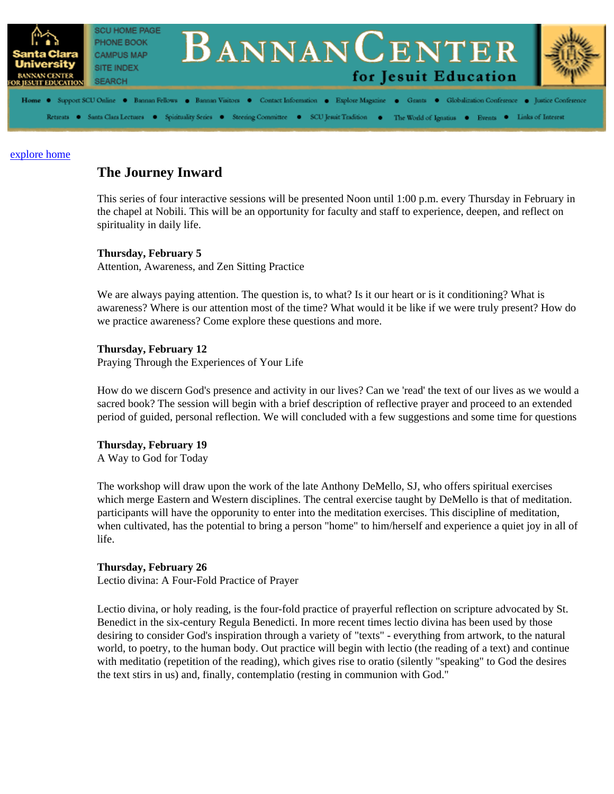

## **The Journey Inward**

This series of four interactive sessions will be presented Noon until 1:00 p.m. every Thursday in February in the chapel at Nobili. This will be an opportunity for faculty and staff to experience, deepen, and reflect on spirituality in daily life.

#### **Thursday, February 5**

Attention, Awareness, and Zen Sitting Practice

We are always paying attention. The question is, to what? Is it our heart or is it conditioning? What is awareness? Where is our attention most of the time? What would it be like if we were truly present? How do we practice awareness? Come explore these questions and more.

#### **Thursday, February 12**

Praying Through the Experiences of Your Life

How do we discern God's presence and activity in our lives? Can we 'read' the text of our lives as we would a sacred book? The session will begin with a brief description of reflective prayer and proceed to an extended period of guided, personal reflection. We will concluded with a few suggestions and some time for questions

#### **Thursday, February 19**

A Way to God for Today

The workshop will draw upon the work of the late Anthony DeMello, SJ, who offers spiritual exercises which merge Eastern and Western disciplines. The central exercise taught by DeMello is that of meditation. participants will have the opporunity to enter into the meditation exercises. This discipline of meditation, when cultivated, has the potential to bring a person "home" to him/herself and experience a quiet joy in all of life.

#### **Thursday, February 26**

Lectio divina: A Four-Fold Practice of Prayer

Lectio divina, or holy reading, is the four-fold practice of prayerful reflection on scripture advocated by St. Benedict in the six-century Regula Benedicti. In more recent times lectio divina has been used by those desiring to consider God's inspiration through a variety of "texts" - everything from artwork, to the natural world, to poetry, to the human body. Out practice will begin with lectio (the reading of a text) and continue with meditatio (repetition of the reading), which gives rise to oratio (silently "speaking" to God the desires the text stirs in us) and, finally, contemplatio (resting in communion with God."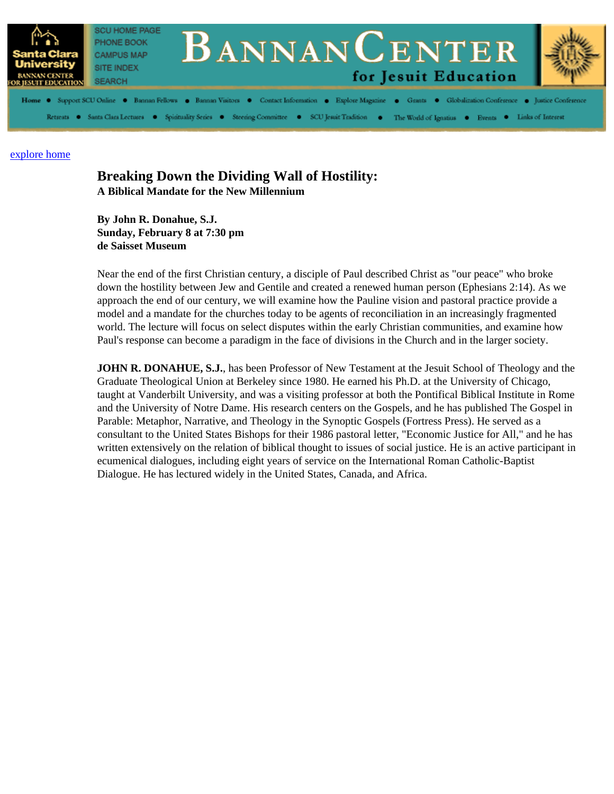

#### **Breaking Down the Dividing Wall of Hostility: A Biblical Mandate for the New Millennium**

**By John R. Donahue, S.J. Sunday, February 8 at 7:30 pm de Saisset Museum**

Near the end of the first Christian century, a disciple of Paul described Christ as "our peace" who broke down the hostility between Jew and Gentile and created a renewed human person (Ephesians 2:14). As we approach the end of our century, we will examine how the Pauline vision and pastoral practice provide a model and a mandate for the churches today to be agents of reconciliation in an increasingly fragmented world. The lecture will focus on select disputes within the early Christian communities, and examine how Paul's response can become a paradigm in the face of divisions in the Church and in the larger society.

**JOHN R. DONAHUE, S.J.**, has been Professor of New Testament at the Jesuit School of Theology and the Graduate Theological Union at Berkeley since 1980. He earned his Ph.D. at the University of Chicago, taught at Vanderbilt University, and was a visiting professor at both the Pontifical Biblical Institute in Rome and the University of Notre Dame. His research centers on the Gospels, and he has published The Gospel in Parable: Metaphor, Narrative, and Theology in the Synoptic Gospels (Fortress Press). He served as a consultant to the United States Bishops for their 1986 pastoral letter, "Economic Justice for All," and he has written extensively on the relation of biblical thought to issues of social justice. He is an active participant in ecumenical dialogues, including eight years of service on the International Roman Catholic-Baptist Dialogue. He has lectured widely in the United States, Canada, and Africa.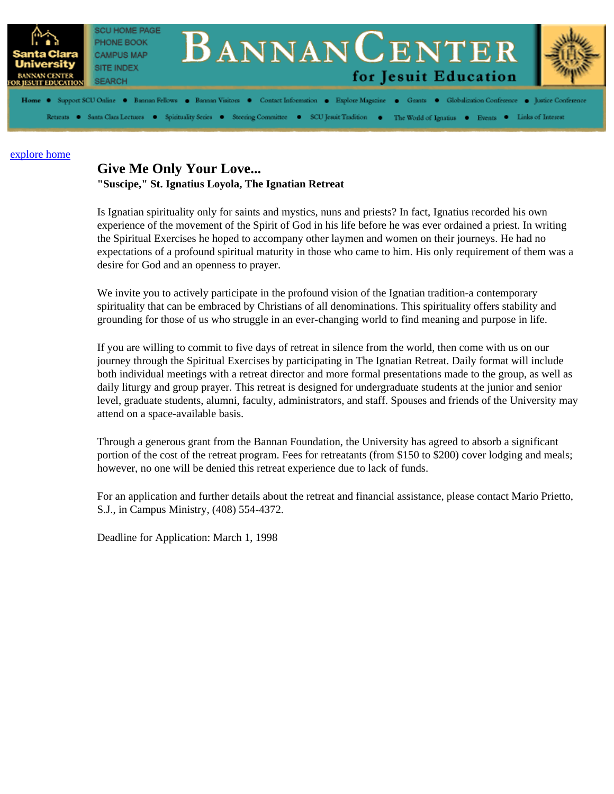

### **Give Me Only Your Love... "Suscipe," St. Ignatius Loyola, The Ignatian Retreat**

Is Ignatian spirituality only for saints and mystics, nuns and priests? In fact, Ignatius recorded his own experience of the movement of the Spirit of God in his life before he was ever ordained a priest. In writing the Spiritual Exercises he hoped to accompany other laymen and women on their journeys. He had no expectations of a profound spiritual maturity in those who came to him. His only requirement of them was a desire for God and an openness to prayer.

We invite you to actively participate in the profound vision of the Ignatian tradition-a contemporary spirituality that can be embraced by Christians of all denominations. This spirituality offers stability and grounding for those of us who struggle in an ever-changing world to find meaning and purpose in life.

If you are willing to commit to five days of retreat in silence from the world, then come with us on our journey through the Spiritual Exercises by participating in The Ignatian Retreat. Daily format will include both individual meetings with a retreat director and more formal presentations made to the group, as well as daily liturgy and group prayer. This retreat is designed for undergraduate students at the junior and senior level, graduate students, alumni, faculty, administrators, and staff. Spouses and friends of the University may attend on a space-available basis.

Through a generous grant from the Bannan Foundation, the University has agreed to absorb a significant portion of the cost of the retreat program. Fees for retreatants (from \$150 to \$200) cover lodging and meals; however, no one will be denied this retreat experience due to lack of funds.

For an application and further details about the retreat and financial assistance, please contact Mario Prietto, S.J., in Campus Ministry, (408) 554-4372.

Deadline for Application: March 1, 1998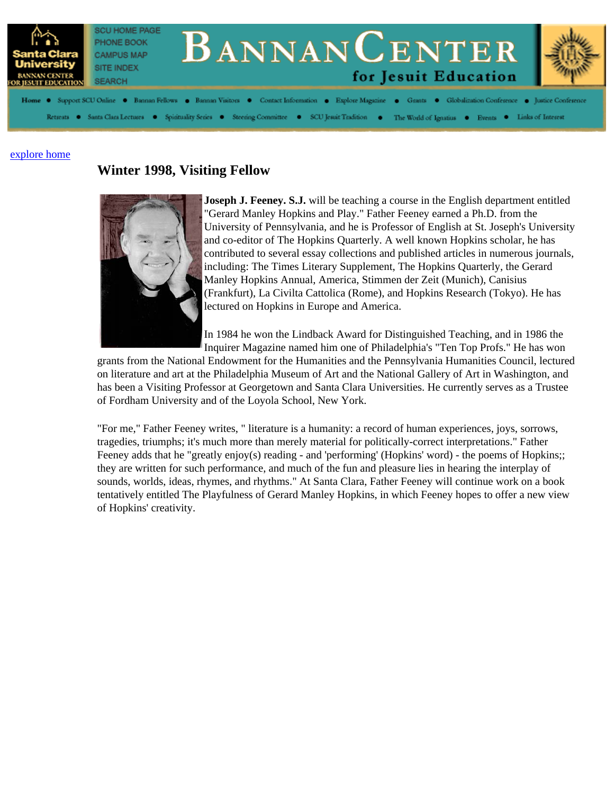

## **Winter 1998, Visiting Fellow**



**Joseph J. Feeney. S.J.** will be teaching a course in the English department entitled "Gerard Manley Hopkins and Play." Father Feeney earned a Ph.D. from the University of Pennsylvania, and he is Professor of English at St. Joseph's University and co-editor of The Hopkins Quarterly. A well known Hopkins scholar, he has contributed to several essay collections and published articles in numerous journals, including: The Times Literary Supplement, The Hopkins Quarterly, the Gerard Manley Hopkins Annual, America, Stimmen der Zeit (Munich), Canisius (Frankfurt), La Civilta Cattolica (Rome), and Hopkins Research (Tokyo). He has lectured on Hopkins in Europe and America.

In 1984 he won the Lindback Award for Distinguished Teaching, and in 1986 the Inquirer Magazine named him one of Philadelphia's "Ten Top Profs." He has won

grants from the National Endowment for the Humanities and the Pennsylvania Humanities Council, lectured on literature and art at the Philadelphia Museum of Art and the National Gallery of Art in Washington, and has been a Visiting Professor at Georgetown and Santa Clara Universities. He currently serves as a Trustee of Fordham University and of the Loyola School, New York.

"For me," Father Feeney writes, " literature is a humanity: a record of human experiences, joys, sorrows, tragedies, triumphs; it's much more than merely material for politically-correct interpretations." Father Feeney adds that he "greatly enjoy(s) reading - and 'performing' (Hopkins' word) - the poems of Hopkins;; they are written for such performance, and much of the fun and pleasure lies in hearing the interplay of sounds, worlds, ideas, rhymes, and rhythms." At Santa Clara, Father Feeney will continue work on a book tentatively entitled The Playfulness of Gerard Manley Hopkins, in which Feeney hopes to offer a new view of Hopkins' creativity.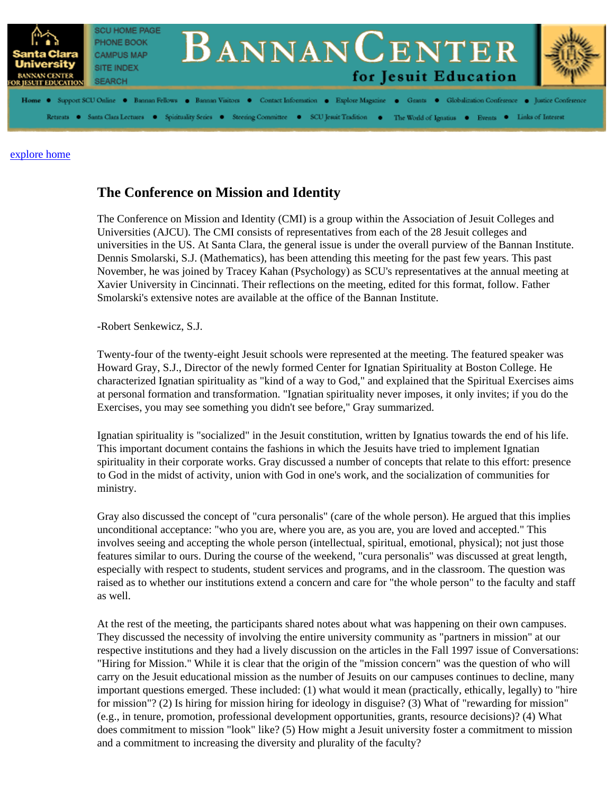

## **The Conference on Mission and Identity**

The Conference on Mission and Identity (CMI) is a group within the Association of Jesuit Colleges and Universities (AJCU). The CMI consists of representatives from each of the 28 Jesuit colleges and universities in the US. At Santa Clara, the general issue is under the overall purview of the Bannan Institute. Dennis Smolarski, S.J. (Mathematics), has been attending this meeting for the past few years. This past November, he was joined by Tracey Kahan (Psychology) as SCU's representatives at the annual meeting at Xavier University in Cincinnati. Their reflections on the meeting, edited for this format, follow. Father Smolarski's extensive notes are available at the office of the Bannan Institute.

-Robert Senkewicz, S.J.

Twenty-four of the twenty-eight Jesuit schools were represented at the meeting. The featured speaker was Howard Gray, S.J., Director of the newly formed Center for Ignatian Spirituality at Boston College. He characterized Ignatian spirituality as "kind of a way to God," and explained that the Spiritual Exercises aims at personal formation and transformation. "Ignatian spirituality never imposes, it only invites; if you do the Exercises, you may see something you didn't see before," Gray summarized.

Ignatian spirituality is "socialized" in the Jesuit constitution, written by Ignatius towards the end of his life. This important document contains the fashions in which the Jesuits have tried to implement Ignatian spirituality in their corporate works. Gray discussed a number of concepts that relate to this effort: presence to God in the midst of activity, union with God in one's work, and the socialization of communities for ministry.

Gray also discussed the concept of "cura personalis" (care of the whole person). He argued that this implies unconditional acceptance: "who you are, where you are, as you are, you are loved and accepted." This involves seeing and accepting the whole person (intellectual, spiritual, emotional, physical); not just those features similar to ours. During the course of the weekend, "cura personalis" was discussed at great length, especially with respect to students, student services and programs, and in the classroom. The question was raised as to whether our institutions extend a concern and care for "the whole person" to the faculty and staff as well.

At the rest of the meeting, the participants shared notes about what was happening on their own campuses. They discussed the necessity of involving the entire university community as "partners in mission" at our respective institutions and they had a lively discussion on the articles in the Fall 1997 issue of Conversations: "Hiring for Mission." While it is clear that the origin of the "mission concern" was the question of who will carry on the Jesuit educational mission as the number of Jesuits on our campuses continues to decline, many important questions emerged. These included: (1) what would it mean (practically, ethically, legally) to "hire for mission"? (2) Is hiring for mission hiring for ideology in disguise? (3) What of "rewarding for mission" (e.g., in tenure, promotion, professional development opportunities, grants, resource decisions)? (4) What does commitment to mission "look" like? (5) How might a Jesuit university foster a commitment to mission and a commitment to increasing the diversity and plurality of the faculty?